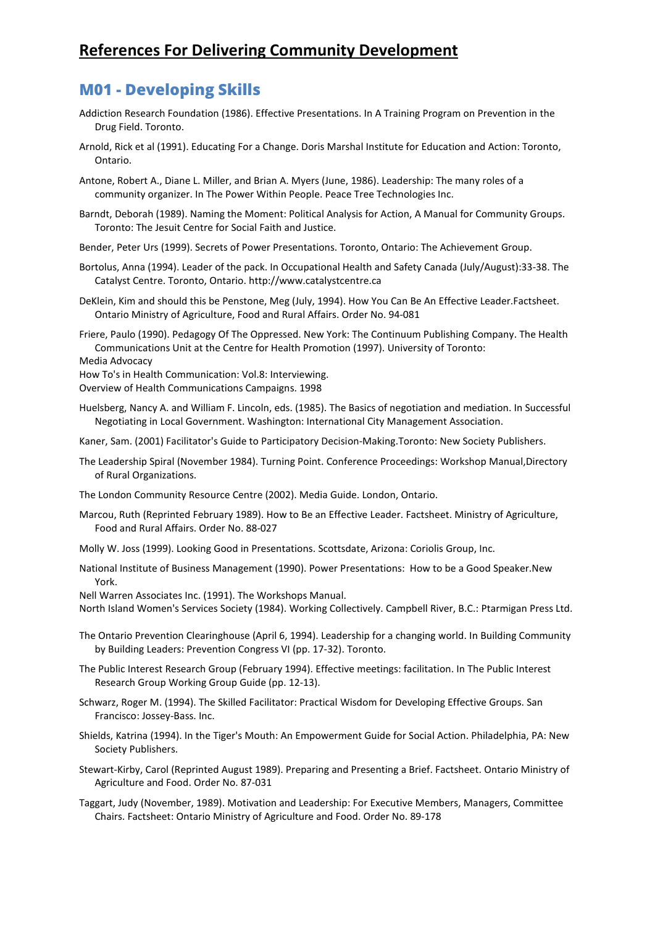### **References For Delivering Community Development**

### **M01 - Developing Skills**

- Addiction Research Foundation (1986). Effective Presentations. In A Training Program on Prevention in the Drug Field. Toronto.
- Arnold, Rick et al (1991). Educating For a Change. Doris Marshal Institute for Education and Action: Toronto, Ontario.
- Antone, Robert A., Diane L. Miller, and Brian A. Myers (June, 1986). Leadership: The many roles of a community organizer. In The Power Within People. Peace Tree Technologies Inc.
- Barndt, Deborah (1989). Naming the Moment: Political Analysis for Action, A Manual for Community Groups. Toronto: The Jesuit Centre for Social Faith and Justice.
- Bender, Peter Urs (1999). Secrets of Power Presentations. Toronto, Ontario: The Achievement Group.
- Bortolus, Anna (1994). Leader of the pack. In Occupational Health and Safety Canada (July/August):33-38. The Catalyst Centre. Toronto, Ontario. http://www.catalystcentre.ca
- DeKlein, Kim and should this be Penstone, Meg (July, 1994). How You Can Be An Effective Leader.Factsheet. Ontario Ministry of Agriculture, Food and Rural Affairs. Order No. 94-081

Friere, Paulo (1990). Pedagogy Of The Oppressed. New York: The Continuum Publishing Company. The Health Communications Unit at the Centre for Health Promotion (1997). University of Toronto:

```
Media Advocacy
```
- How To's in Health Communication: Vol.8: Interviewing.
- Overview of Health Communications Campaigns. 1998
- Huelsberg, Nancy A. and William F. Lincoln, eds. (1985). The Basics of negotiation and mediation. In Successful Negotiating in Local Government. Washington: International City Management Association.
- Kaner, Sam. (2001) Facilitator's Guide to Participatory Decision-Making.Toronto: New Society Publishers.
- The Leadership Spiral (November 1984). Turning Point. Conference Proceedings: Workshop Manual,Directory of Rural Organizations.
- The London Community Resource Centre (2002). Media Guide. London, Ontario.
- Marcou, Ruth (Reprinted February 1989). How to Be an Effective Leader. Factsheet. Ministry of Agriculture, Food and Rural Affairs. Order No. 88-027
- Molly W. Joss (1999). Looking Good in Presentations. Scottsdate, Arizona: Coriolis Group, Inc.
- National Institute of Business Management (1990). Power Presentations: How to be a Good Speaker.New York.
- Nell Warren Associates Inc. (1991). The Workshops Manual.

North Island Women's Services Society (1984). Working Collectively. Campbell River, B.C.: Ptarmigan Press Ltd.

- The Ontario Prevention Clearinghouse (April 6, 1994). Leadership for a changing world. In Building Community by Building Leaders: Prevention Congress VI (pp. 17-32). Toronto.
- The Public Interest Research Group (February 1994). Effective meetings: facilitation. In The Public Interest Research Group Working Group Guide (pp. 12-13).
- Schwarz, Roger M. (1994). The Skilled Facilitator: Practical Wisdom for Developing Effective Groups. San Francisco: Jossey-Bass. Inc.
- Shields, Katrina (1994). In the Tiger's Mouth: An Empowerment Guide for Social Action. Philadelphia, PA: New Society Publishers.
- Stewart-Kirby, Carol (Reprinted August 1989). Preparing and Presenting a Brief. Factsheet. Ontario Ministry of Agriculture and Food. Order No. 87-031
- Taggart, Judy (November, 1989). Motivation and Leadership: For Executive Members, Managers, Committee Chairs. Factsheet: Ontario Ministry of Agriculture and Food. Order No. 89-178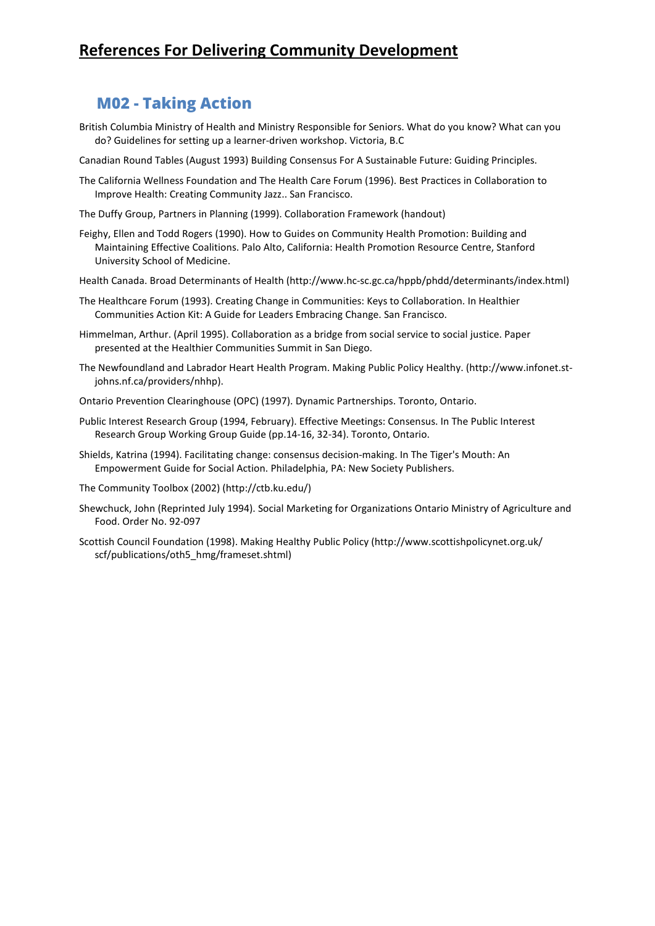# **References For Delivering Community Development**

#### **M02 - Taking Action**

- British Columbia Ministry of Health and Ministry Responsible for Seniors. What do you know? What can you do? Guidelines for setting up a learner-driven workshop. Victoria, B.C
- Canadian Round Tables (August 1993) Building Consensus For A Sustainable Future: Guiding Principles.
- The California Wellness Foundation and The Health Care Forum (1996). Best Practices in Collaboration to Improve Health: Creating Community Jazz.. San Francisco.
- The Duffy Group, Partners in Planning (1999). Collaboration Framework (handout)
- Feighy, Ellen and Todd Rogers (1990). How to Guides on Community Health Promotion: Building and Maintaining Effective Coalitions. Palo Alto, California: Health Promotion Resource Centre, Stanford University School of Medicine.
- Health Canada. Broad Determinants of Health (http://www.hc-sc.gc.ca/hppb/phdd/determinants/index.html)
- The Healthcare Forum (1993). Creating Change in Communities: Keys to Collaboration. In Healthier Communities Action Kit: A Guide for Leaders Embracing Change. San Francisco.
- Himmelman, Arthur. (April 1995). Collaboration as a bridge from social service to social justice. Paper presented at the Healthier Communities Summit in San Diego.
- The Newfoundland and Labrador Heart Health Program. Making Public Policy Healthy. (http://www.infonet.stjohns.nf.ca/providers/nhhp).
- Ontario Prevention Clearinghouse (OPC) (1997). Dynamic Partnerships. Toronto, Ontario.
- Public Interest Research Group (1994, February). Effective Meetings: Consensus. In The Public Interest Research Group Working Group Guide (pp.14-16, 32-34). Toronto, Ontario.
- Shields, Katrina (1994). Facilitating change: consensus decision-making. In The Tiger's Mouth: An Empowerment Guide for Social Action. Philadelphia, PA: New Society Publishers.
- The Community Toolbox (2002) (http://ctb.ku.edu/)
- Shewchuck, John (Reprinted July 1994). Social Marketing for Organizations Ontario Ministry of Agriculture and Food. Order No. 92-097
- Scottish Council Foundation (1998). Making Healthy Public Policy (http://www.scottishpolicynet.org.uk/ scf/publications/oth5\_hmg/frameset.shtml)